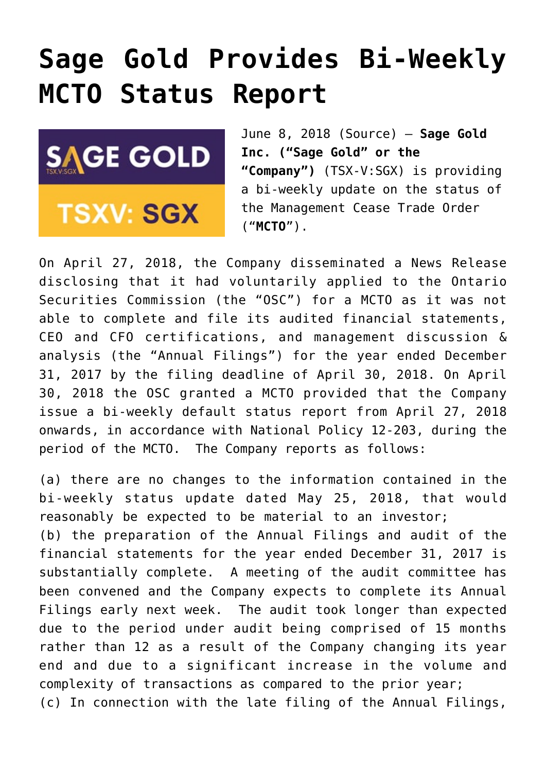## **[Sage Gold Provides Bi-Weekly](https://investorintel.com/markets/gold-silver-base-metals/gold-precious-metals-news/sage-gold-provides-bi-weekly-mcto-status-report-3/) [MCTO Status Report](https://investorintel.com/markets/gold-silver-base-metals/gold-precious-metals-news/sage-gold-provides-bi-weekly-mcto-status-report-3/)**



June 8, 2018 ([Source\)](https://investorintel.com/iintel-members/sage-gold-inc/) — **Sage Gold Inc. ("Sage Gold" or the "Company")** (TSX-V:SGX) is providing a bi-weekly update on the status of the Management Cease Trade Order ("**MCTO**").

On April 27, 2018, the Company disseminated a News Release disclosing that it had voluntarily applied to the Ontario Securities Commission (the "OSC") for a MCTO as it was not able to complete and file its audited financial statements, CEO and CFO certifications, and management discussion & analysis (the "Annual Filings") for the year ended December 31, 2017 by the filing deadline of April 30, 2018. On April 30, 2018 the OSC granted a MCTO provided that the Company issue a bi-weekly default status report from April 27, 2018 onwards, in accordance with National Policy 12-203, during the period of the MCTO. The Company reports as follows:

(a) there are no changes to the information contained in the bi-weekly status update dated May 25, 2018, that would reasonably be expected to be material to an investor; (b) the preparation of the Annual Filings and audit of the financial statements for the year ended December 31, 2017 is substantially complete. A meeting of the audit committee has been convened and the Company expects to complete its Annual Filings early next week. The audit took longer than expected due to the period under audit being comprised of 15 months rather than 12 as a result of the Company changing its year end and due to a significant increase in the volume and complexity of transactions as compared to the prior year; (c) In connection with the late filing of the Annual Filings,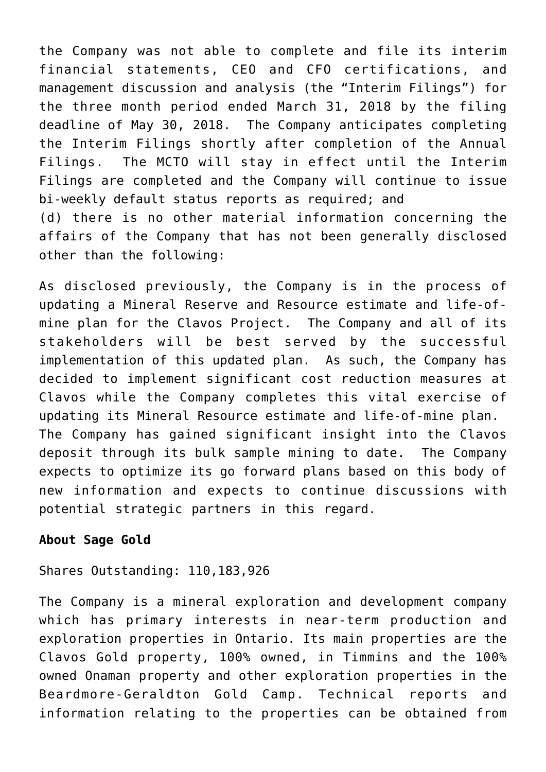the Company was not able to complete and file its interim financial statements, CEO and CFO certifications, and management discussion and analysis (the "Interim Filings") for the three month period ended March 31, 2018 by the filing deadline of May 30, 2018. The Company anticipates completing the Interim Filings shortly after completion of the Annual Filings. The MCTO will stay in effect until the Interim Filings are completed and the Company will continue to issue bi-weekly default status reports as required; and (d) there is no other material information concerning the affairs of the Company that has not been generally disclosed other than the following:

As disclosed previously, the Company is in the process of updating a Mineral Reserve and Resource estimate and life-ofmine plan for the Clavos Project. The Company and all of its stakeholders will be best served by the successful implementation of this updated plan. As such, the Company has decided to implement significant cost reduction measures at Clavos while the Company completes this vital exercise of updating its Mineral Resource estimate and life-of-mine plan. The Company has gained significant insight into the Clavos deposit through its bulk sample mining to date. The Company expects to optimize its go forward plans based on this body of new information and expects to continue discussions with potential strategic partners in this regard.

## **About Sage Gold**

Shares Outstanding: 110,183,926

The Company is a mineral exploration and development company which has primary interests in near-term production and exploration properties in Ontario. Its main properties are the Clavos Gold property, 100% owned, in Timmins and the 100% owned Onaman property and other exploration properties in the Beardmore-Geraldton Gold Camp. Technical reports and information relating to the properties can be obtained from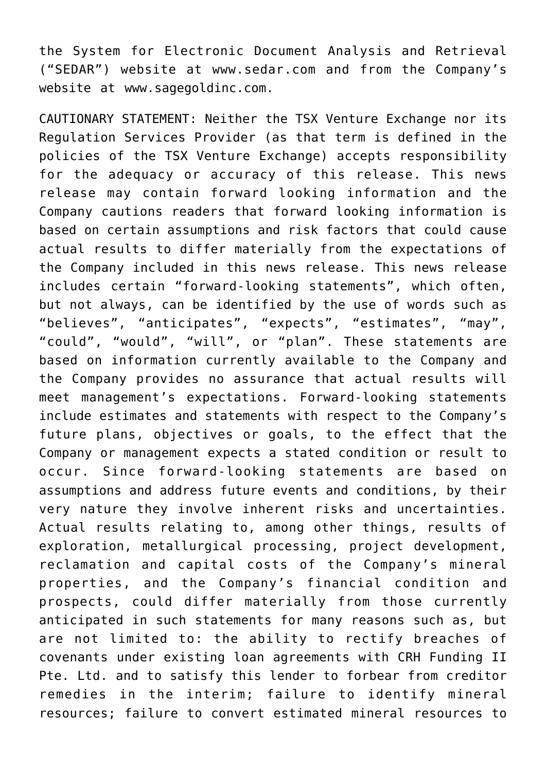the System for Electronic Document Analysis and Retrieval ("SEDAR") website at [www.sedar.com](https://www.globenewswire.com/Tracker?data=B49rDxvh6zFfyY1Uea1qBn8pLLDf6_hcRNQ_AoWWDBwTBm-qt1ZO2gBGdSZgSfe-rVeFhuRZ_f09edderr93lg==) and from the Company's website at [www.sagegoldinc.com](https://www.globenewswire.com/Tracker?data=QZ5ws7Pb3dY-UdwZXPD3fKGvjoqj1xpH_CxyQl5VeVWk0xZ0wqco4PwpbCdPq-eCBU0jkO9aa0OhI68jQXdffcBp0RJwC0_eVIAkdLnANPE=).

CAUTIONARY STATEMENT: Neither the TSX Venture Exchange nor its Regulation Services Provider (as that term is defined in the policies of the TSX Venture Exchange) accepts responsibility for the adequacy or accuracy of this release. This news release may contain forward looking information and the Company cautions readers that forward looking information is based on certain assumptions and risk factors that could cause actual results to differ materially from the expectations of the Company included in this news release. This news release includes certain "forward-looking statements", which often, but not always, can be identified by the use of words such as "believes", "anticipates", "expects", "estimates", "may", "could", "would", "will", or "plan". These statements are based on information currently available to the Company and the Company provides no assurance that actual results will meet management's expectations. Forward-looking statements include estimates and statements with respect to the Company's future plans, objectives or goals, to the effect that the Company or management expects a stated condition or result to occur. Since forward-looking statements are based on assumptions and address future events and conditions, by their very nature they involve inherent risks and uncertainties. Actual results relating to, among other things, results of exploration, metallurgical processing, project development, reclamation and capital costs of the Company's mineral properties, and the Company's financial condition and prospects, could differ materially from those currently anticipated in such statements for many reasons such as, but are not limited to: the ability to rectify breaches of covenants under existing loan agreements with CRH Funding II Pte. Ltd. and to satisfy this lender to forbear from creditor remedies in the interim; failure to identify mineral resources; failure to convert estimated mineral resources to